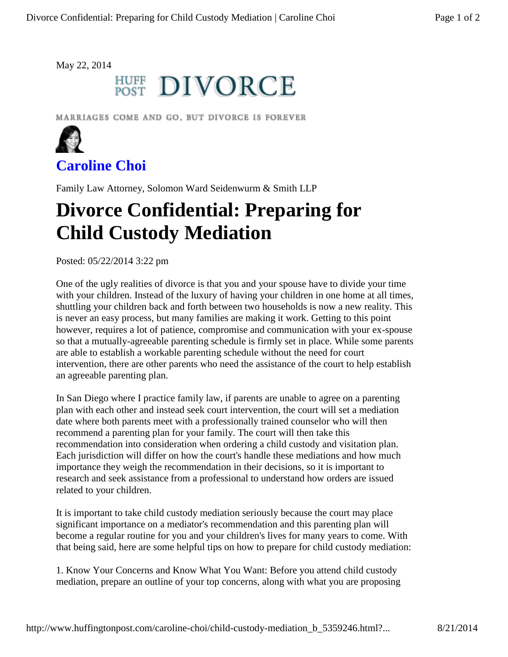May 22, 2014

## **HUFF DIVORCE**

MARRIAGES COME AND GO, BUT DIVORCE IS FOREVER



**Caroline Choi**

Family Law Attorney, Solomon Ward Seidenwurm & Smith LLP

## **Divorce Confidential: Preparing for Child Custody Mediation**

Posted: 05/22/2014 3:22 pm

One of the ugly realities of divorce is that you and your spouse have to divide your time with your children. Instead of the luxury of having your children in one home at all times, shuttling your children back and forth between two households is now a new reality. This is never an easy process, but many families are making it work. Getting to this point however, requires a lot of patience, compromise and communication with your ex-spouse so that a mutually-agreeable parenting schedule is firmly set in place. While some parents are able to establish a workable parenting schedule without the need for court intervention, there are other parents who need the assistance of the court to help establish an agreeable parenting plan.

In San Diego where I practice family law, if parents are unable to agree on a parenting plan with each other and instead seek court intervention, the court will set a mediation date where both parents meet with a professionally trained counselor who will then recommend a parenting plan for your family. The court will then take this recommendation into consideration when ordering a child custody and visitation plan. Each jurisdiction will differ on how the court's handle these mediations and how much importance they weigh the recommendation in their decisions, so it is important to research and seek assistance from a professional to understand how orders are issued related to your children.

It is important to take child custody mediation seriously because the court may place significant importance on a mediator's recommendation and this parenting plan will become a regular routine for you and your children's lives for many years to come. With that being said, here are some helpful tips on how to prepare for child custody mediation:

1. Know Your Concerns and Know What You Want: Before you attend child custody mediation, prepare an outline of your top concerns, along with what you are proposing